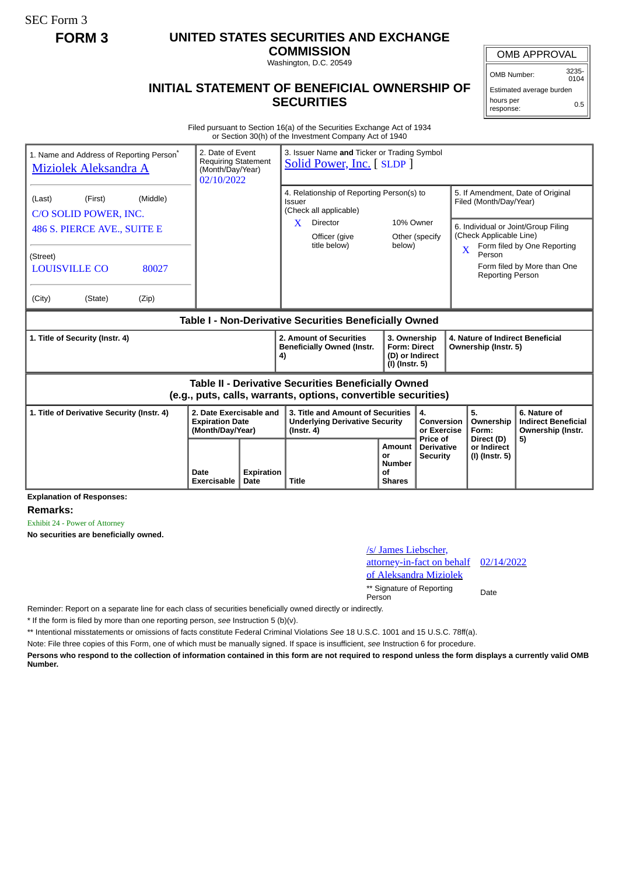SEC Form 3

## **FORM 3 UNITED STATES SECURITIES AND EXCHANGE**

**COMMISSION** Washington, D.C. 20549

## OMB APPROVAL

OMB Number: 3235-  $0104$ 

## **INITIAL STATEMENT OF BENEFICIAL OWNERSHIP OF SECURITIES**

Estimated average burden hours per response: 0.5

Filed pursuant to Section 16(a) of the Securities Exchange Act of 1934 or Section 30(h) of the Investment Company Act of 1940

| 1. Name and Address of Reporting Person*<br>Miziolek Aleksandra A                                                                                                |                     | 2. Date of Event<br>3. Issuer Name and Ticker or Trading Symbol<br><b>Requiring Statement</b><br>Solid Power, Inc. [SLDP]<br>(Month/Day/Year)<br>02/10/2022 |                                                                                                                                        |                                                             |                                                         |                                                                                             |                                                                                                                                        |
|------------------------------------------------------------------------------------------------------------------------------------------------------------------|---------------------|-------------------------------------------------------------------------------------------------------------------------------------------------------------|----------------------------------------------------------------------------------------------------------------------------------------|-------------------------------------------------------------|---------------------------------------------------------|---------------------------------------------------------------------------------------------|----------------------------------------------------------------------------------------------------------------------------------------|
| (Middle)<br>(Last)<br>(First)<br>C/O SOLID POWER, INC.<br>486 S. PIERCE AVE., SUITE E<br>(Street)<br><b>LOUISVILLE CO</b><br>80027<br>(City)<br>(State)<br>(Zip) |                     |                                                                                                                                                             | 4. Relationship of Reporting Person(s) to<br><b>Issuer</b><br>(Check all applicable)<br>Director<br>X<br>Officer (give<br>title below) | 10% Owner<br>below)                                         | Other (specify                                          | Filed (Month/Day/Year)<br>(Check Applicable Line)<br>X<br>Person<br><b>Reporting Person</b> | 5. If Amendment, Date of Original<br>6. Individual or Joint/Group Filing<br>Form filed by One Reporting<br>Form filed by More than One |
| Table I - Non-Derivative Securities Beneficially Owned                                                                                                           |                     |                                                                                                                                                             |                                                                                                                                        |                                                             |                                                         |                                                                                             |                                                                                                                                        |
| 1. Title of Security (Instr. 4)                                                                                                                                  |                     |                                                                                                                                                             | 2. Amount of Securities<br><b>Beneficially Owned (Instr.</b><br>4)                                                                     | 3. Ownership<br><b>Form: Direct</b><br>(I) (Instr. 5)       | (D) or Indirect                                         | 4. Nature of Indirect Beneficial<br>Ownership (Instr. 5)                                    |                                                                                                                                        |
| Table II - Derivative Securities Beneficially Owned<br>(e.g., puts, calls, warrants, options, convertible securities)                                            |                     |                                                                                                                                                             |                                                                                                                                        |                                                             |                                                         |                                                                                             |                                                                                                                                        |
| 2. Date Exercisable and<br>1. Title of Derivative Security (Instr. 4)<br><b>Expiration Date</b><br>(Month/Day/Year)                                              |                     |                                                                                                                                                             | 3. Title and Amount of Securities<br><b>Underlying Derivative Security</b><br>$($ lnstr. 4 $)$                                         |                                                             | 4.<br>Conversion<br>or Exercise                         | 5.<br>Ownership<br>Form:                                                                    | 6. Nature of<br><b>Indirect Beneficial</b><br>Ownership (Instr.                                                                        |
|                                                                                                                                                                  | Date<br>Exercisable | Expiration<br>Date                                                                                                                                          | <b>Title</b>                                                                                                                           | <b>Amount</b><br>or<br><b>Number</b><br>Ωf<br><b>Shares</b> | <b>Price of</b><br><b>Derivative</b><br><b>Security</b> | Direct (D)<br>or Indirect<br>(I) (Instr. 5)                                                 | 5)                                                                                                                                     |

**Explanation of Responses:**

**Remarks:**

Exhibit 24 - Power of Attorney

**No securities are beneficially owned.**



Reminder: Report on a separate line for each class of securities beneficially owned directly or indirectly.

\* If the form is filed by more than one reporting person, *see* Instruction 5 (b)(v).

\*\* Intentional misstatements or omissions of facts constitute Federal Criminal Violations *See* 18 U.S.C. 1001 and 15 U.S.C. 78ff(a).

Note: File three copies of this Form, one of which must be manually signed. If space is insufficient, *see* Instruction 6 for procedure.

**Persons who respond to the collection of information contained in this form are not required to respond unless the form displays a currently valid OMB Number.**